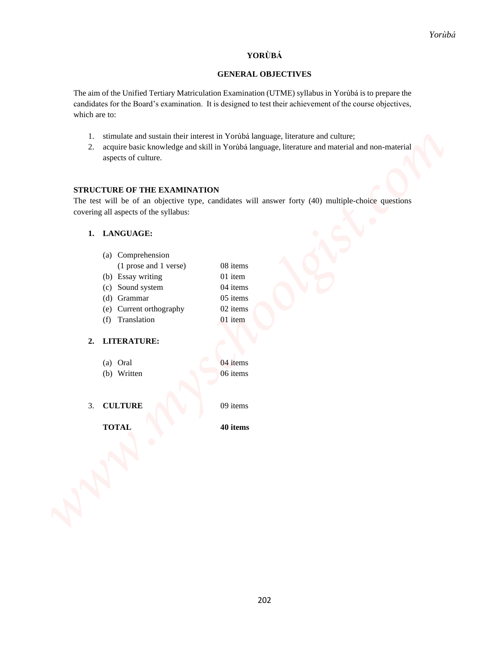# **YORÙBÁ**

# **GENERAL OBJECTIVES**

- 1. stimulate and sustain their interest in Yorùbá language, literature and culture;
- 2. acquire basic knowledge and skill in Yorùbá language, literature and material and non-material aspects of culture.

## **STRUCTURE OF THE EXAMINATION**

# **1. LANGUAGE:**

|                                                                      |                                                                                                                                                                                                                     |                           | Yorùbá |
|----------------------------------------------------------------------|---------------------------------------------------------------------------------------------------------------------------------------------------------------------------------------------------------------------|---------------------------|--------|
|                                                                      |                                                                                                                                                                                                                     | YORÙBÁ                    |        |
|                                                                      |                                                                                                                                                                                                                     | <b>GENERAL OBJECTIVES</b> |        |
| which are to:                                                        | The aim of the Unified Tertiary Matriculation Examination (UTME) syllabus in Yorubá is to prepare the<br>candidates for the Board's examination. It is designed to test their achievement of the course objectives, |                           |        |
| 1.<br>2.<br>aspects of culture.                                      | stimulate and sustain their interest in Yoruba language, literature and culture;<br>acquire basic knowledge and skill in Yorubá language, literature and material and non-material                                  |                           |        |
|                                                                      | <b>STRUCTURE OF THE EXAMINATION</b>                                                                                                                                                                                 |                           |        |
|                                                                      | The test will be of an objective type, candidates will answer forty (40) multiple-choice questions                                                                                                                  |                           |        |
| covering all aspects of the syllabus:                                |                                                                                                                                                                                                                     |                           |        |
| LANGUAGE:<br>1.                                                      |                                                                                                                                                                                                                     |                           |        |
| (b) Essay writing<br>(c)<br>(d) Grammar<br>(e)<br>Translation<br>(f) | (a) Comprehension<br>08 items<br>(1 prose and 1 verse)<br>01 item<br>Sound system<br>04 items<br>05 items<br>02 items<br>Current orthography<br>01 item                                                             |                           |        |
| <b>LITERATURE:</b><br>2.                                             |                                                                                                                                                                                                                     |                           |        |
| (a) Oral                                                             | 04 items                                                                                                                                                                                                            |                           |        |
| (b) Written                                                          | 06 items                                                                                                                                                                                                            |                           |        |
| 3. CULTURE                                                           | 09 items                                                                                                                                                                                                            |                           |        |
| <b>TOTAL</b>                                                         | 40 items                                                                                                                                                                                                            |                           |        |
|                                                                      |                                                                                                                                                                                                                     |                           |        |

# **2. LITERATURE:**

| (a) Oral    |  | 04 items |
|-------------|--|----------|
| (b) Written |  | 06 items |
|             |  |          |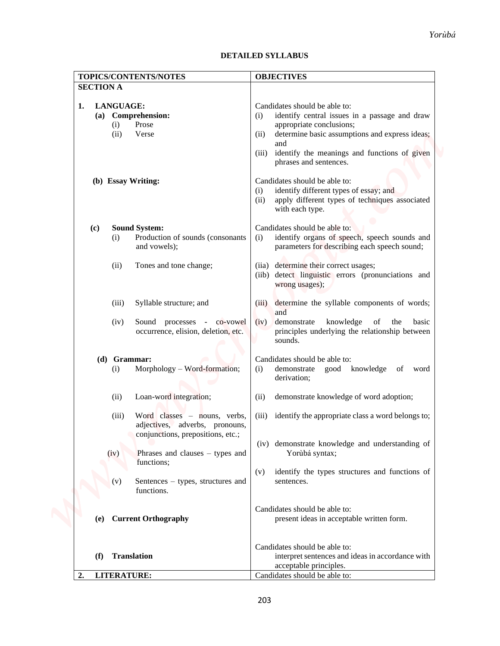# **DETAILED SYLLABUS**

|                  |                                                                                                                | Yorùbá<br><b>DETAILED SYLLABUS</b>                                                                                                                                                                                                                                    |
|------------------|----------------------------------------------------------------------------------------------------------------|-----------------------------------------------------------------------------------------------------------------------------------------------------------------------------------------------------------------------------------------------------------------------|
|                  | TOPICS/CONTENTS/NOTES                                                                                          | <b>OBJECTIVES</b>                                                                                                                                                                                                                                                     |
| <b>SECTION A</b> |                                                                                                                |                                                                                                                                                                                                                                                                       |
| 1.<br>(a)        | <b>LANGUAGE:</b><br><b>Comprehension:</b><br>Prose<br>(i)<br>(ii)<br>Verse                                     | Candidates should be able to:<br>identify central issues in a passage and draw<br>(i)<br>appropriate conclusions;<br>determine basic assumptions and express ideas;<br>(ii)<br>and<br>identify the meanings and functions of given<br>(iii)<br>phrases and sentences. |
|                  | (b) Essay Writing:                                                                                             | Candidates should be able to:<br>identify different types of essay; and<br>(i)<br>apply different types of techniques associated<br>(ii)<br>with each type.                                                                                                           |
| (c)              | <b>Sound System:</b><br>Production of sounds (consonants<br>(i)<br>and vowels);                                | Candidates should be able to:<br>identify organs of speech, speech sounds and<br>(i)<br>parameters for describing each speech sound;                                                                                                                                  |
|                  | (ii)<br>Tones and tone change;                                                                                 | determine their correct usages;<br>(iia)<br>(iib) detect linguistic errors (pronunciations and<br>wrong usages);                                                                                                                                                      |
|                  | (iii)<br>Syllable structure; and                                                                               | determine the syllable components of words;<br>(iii)<br>and                                                                                                                                                                                                           |
|                  | Sound processes - co-vowel<br>(iv)<br>occurrence, elision, deletion, etc.                                      | demonstrate<br>knowledge<br>the<br>basic<br>(iv)<br>of<br>principles underlying the relationship between<br>sounds.                                                                                                                                                   |
|                  | (d) Grammar:<br>Morphology - Word-formation;<br>(i)                                                            | Candidates should be able to:<br>good knowledge<br>of word<br>demonstrate<br>(i)<br>derivation;                                                                                                                                                                       |
|                  | Loan-word integration;<br>(ii)                                                                                 | demonstrate knowledge of word adoption;<br>(i)                                                                                                                                                                                                                        |
|                  | (iii)<br>Word classes $-$ nouns, verbs,<br>adjectives, adverbs, pronouns,<br>conjunctions, prepositions, etc.; | identify the appropriate class a word belongs to;<br>(iii)                                                                                                                                                                                                            |
|                  | Phrases and clauses – types and<br>(iv)<br>functions;                                                          | (iv) demonstrate knowledge and understanding of<br>Yorùbá syntax;                                                                                                                                                                                                     |
|                  | Sentences – types, structures and<br>(v)<br>functions.                                                         | identify the types structures and functions of<br>(v)<br>sentences.                                                                                                                                                                                                   |
| (e)              | <b>Current Orthography</b>                                                                                     | Candidates should be able to:<br>present ideas in acceptable written form.                                                                                                                                                                                            |
| (f)              | <b>Translation</b>                                                                                             | Candidates should be able to:<br>interpret sentences and ideas in accordance with<br>acceptable principles.                                                                                                                                                           |
| $\mathbf{2}$     | <b>LITERATURE:</b>                                                                                             | Candidates should be able to:                                                                                                                                                                                                                                         |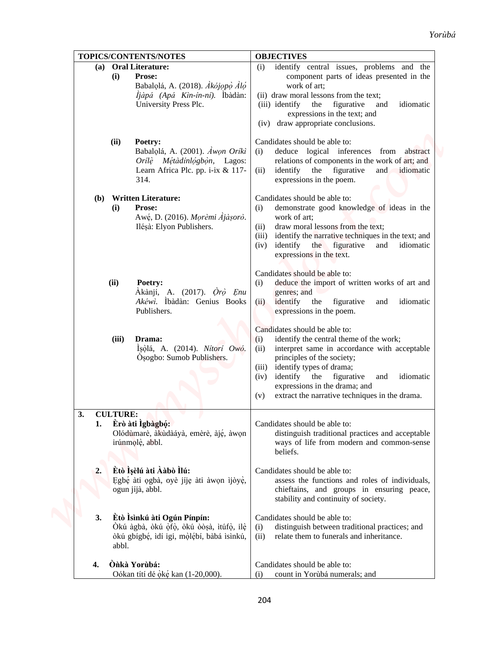| TOPICS/CONTENTS/NOTES                                                                                                                                  | <b>OBJECTIVES</b>                                                                                                                                                                                                                                                                                                                                           |
|--------------------------------------------------------------------------------------------------------------------------------------------------------|-------------------------------------------------------------------------------------------------------------------------------------------------------------------------------------------------------------------------------------------------------------------------------------------------------------------------------------------------------------|
| <b>Oral Literature:</b><br>(a)<br>Prose:<br>(i)<br>Babalolá, A. (2018). Akójopo Aló<br><i>ljàpá (Apá Kìn-ín-ní)</i> . Íbàdàn:<br>University Press Plc. | identify central issues, problems and the<br>(i)<br>component parts of ideas presented in the<br>work of art;<br>(ii) draw moral lessons from the text;<br>(iii) identify<br>figurative<br>idiomatic<br>the<br>and<br>expressions in the text; and<br>(iv) draw appropriate conclusions.                                                                    |
| (ii)<br>Poetry:<br>Babalolá, A. (2001). Awon Oriki<br>Orílè Métàdínlógbòn, Lagos:<br>Learn Africa Plc. pp. i-ix & 117-<br>314.                         | Candidates should be able to:<br>deduce logical inferences from abstract<br>(i)<br>relations of components in the work of art; and<br>identify the figurative<br>and idiomatic<br>(i)<br>expressions in the poem.                                                                                                                                           |
| <b>Written Literature:</b><br>(b)<br>Prose:<br>(i)<br>Awé, D. (2016). Morèmi Ajàșorò.<br>Ilésà: Elyon Publishers.                                      | Candidates should be able to:<br>demonstrate good knowledge of ideas in the<br>(i)<br>work of art;<br>draw moral lessons from the text;<br>(i)<br>identify the narrative techniques in the text; and<br>(iii)<br>identify the figurative<br>idiomatic<br>(iv)<br>and<br>expressions in the text.                                                            |
| (ii)<br>Poetry:<br>Akànjí, A. (2017). <i>Orò Enu</i><br>Akéwi. İbàdàn: Genius Books<br>Publishers.                                                     | Candidates should be able to:<br>deduce the import of written works of art and<br>(i)<br>genres; and<br>identify the figurative<br>idiomatic<br>and<br>(ii)<br>expressions in the poem.                                                                                                                                                                     |
| (iii)<br>Drama:<br>Isòlá, A. (2014). Nitori Owó.<br>Osogbo: Sumob Publishers.                                                                          | Candidates should be able to:<br>identify the central theme of the work;<br>(i)<br>interpret same in accordance with acceptable<br>(ii)<br>principles of the society;<br>identify types of drama;<br>(iii)<br>identify the figurative<br>idiomatic<br>and<br>(iv)<br>expressions in the drama; and<br>extract the narrative techniques in the drama.<br>(v) |
| <b>CULTURE:</b><br>3.<br>Èrò àti Igbàgbó:<br>1.<br>Olódùmarè, àkùdàáyà, emèrè, àjé, àwon<br>irúnmolè, abbl.                                            | Candidates should be able to:<br>distinguish traditional practices and acceptable<br>ways of life from modern and common-sense<br>beliefs.                                                                                                                                                                                                                  |
| Ètò Ìşèlú àti Ààbò Ìlú:<br>2.<br>Egbé àti ogbà, oyè jíje àti àwon ìjòyè,<br>ogun jíjà, abbl.                                                           | Candidates should be able to:<br>assess the functions and roles of individuals,<br>chieftains, and groups in ensuring peace,<br>stability and continuity of society.                                                                                                                                                                                        |
| Êtò Isinkú àti Ogún Pínpín:<br>3.<br>Òkú àgbà, òkú òfò, òkú òòsà, ìtúfò, ilè<br>òkú gbígbé, idí igi, mòlébí, bàbá isinkú,<br>abbl.                     | Candidates should be able to:<br>distinguish between traditional practices; and<br>(i)<br>(ii)<br>relate them to funerals and inheritance.                                                                                                                                                                                                                  |
| Ònkà Yorùbá:<br>4.<br>Oókan títí dé òké kan (1-20,000).                                                                                                | Candidates should be able to:<br>count in Yorùbá numerals; and<br>(i)                                                                                                                                                                                                                                                                                       |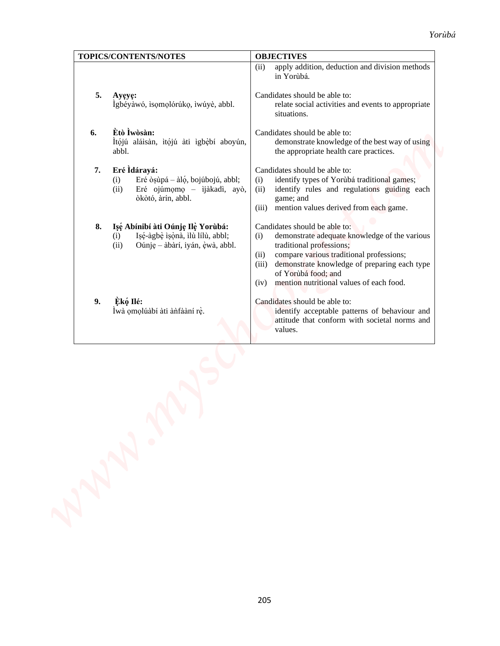| apply addition, deduction and division methods<br>(ii)<br>in Yorùbá.<br>5.<br>Candidates should be able to:<br>Ayeye:<br>Igbéyàwó, isomolórúko, iwúyè, abbl.<br>relate social activities and events to appropriate<br>situations.<br>Ètò Ìwòsàn:<br>6.<br>Candidates should be able to:<br>Ítójú aláisàn, itójú àti igbèbí aboyún,<br>demonstrate knowledge of the best way of using<br>abbl.<br>the appropriate health care practices.<br>Eré Idárayá:<br>Candidates should be able to:<br>7.<br>identify types of Yorùbá traditional games;<br>Eré ò sùpá - à lọ, bojúbojú, abbl;<br>(i)<br>(i)<br>Eré ojúmomo - ijàkadì, ayò,<br>identify rules and regulations guiding each<br>(ii)<br>(ii)<br>òkòtó, àrín, abbl.<br>game; and<br>mention values derived from each game.<br>(iii)<br>Candidates should be able to:<br>Işé Abínibí àti Oúnje Ilè Yorùbá:<br>8.<br>Isé-àgbè ìsònà, ìlù lílù, abbl;<br>demonstrate adequate knowledge of the various<br>(i)<br>(i)<br>(ii)<br>Oúnje – àbàrí, iyán, èwà, abbl.<br>traditional professions;<br>compare various traditional professions;<br>(ii)<br>demonstrate knowledge of preparing each type<br>(iii)<br>of Yorùbá food; and<br>mention nutritional values of each food.<br>(iv)<br>Èkó Ilé:<br>9.<br>Candidates should be able to:<br>Ìwà ọmọlúàbí àti ànfààní rè.<br>identify acceptable patterns of behaviour and<br>attitude that conform with societal norms and<br>values. | TOPICS/CONTENTS/NOTES | <b>OBJECTIVES</b> |
|------------------------------------------------------------------------------------------------------------------------------------------------------------------------------------------------------------------------------------------------------------------------------------------------------------------------------------------------------------------------------------------------------------------------------------------------------------------------------------------------------------------------------------------------------------------------------------------------------------------------------------------------------------------------------------------------------------------------------------------------------------------------------------------------------------------------------------------------------------------------------------------------------------------------------------------------------------------------------------------------------------------------------------------------------------------------------------------------------------------------------------------------------------------------------------------------------------------------------------------------------------------------------------------------------------------------------------------------------------------------------------------------------------------------------------|-----------------------|-------------------|
|                                                                                                                                                                                                                                                                                                                                                                                                                                                                                                                                                                                                                                                                                                                                                                                                                                                                                                                                                                                                                                                                                                                                                                                                                                                                                                                                                                                                                                    |                       |                   |
|                                                                                                                                                                                                                                                                                                                                                                                                                                                                                                                                                                                                                                                                                                                                                                                                                                                                                                                                                                                                                                                                                                                                                                                                                                                                                                                                                                                                                                    |                       |                   |
|                                                                                                                                                                                                                                                                                                                                                                                                                                                                                                                                                                                                                                                                                                                                                                                                                                                                                                                                                                                                                                                                                                                                                                                                                                                                                                                                                                                                                                    |                       |                   |
|                                                                                                                                                                                                                                                                                                                                                                                                                                                                                                                                                                                                                                                                                                                                                                                                                                                                                                                                                                                                                                                                                                                                                                                                                                                                                                                                                                                                                                    |                       |                   |
|                                                                                                                                                                                                                                                                                                                                                                                                                                                                                                                                                                                                                                                                                                                                                                                                                                                                                                                                                                                                                                                                                                                                                                                                                                                                                                                                                                                                                                    |                       |                   |
|                                                                                                                                                                                                                                                                                                                                                                                                                                                                                                                                                                                                                                                                                                                                                                                                                                                                                                                                                                                                                                                                                                                                                                                                                                                                                                                                                                                                                                    |                       |                   |